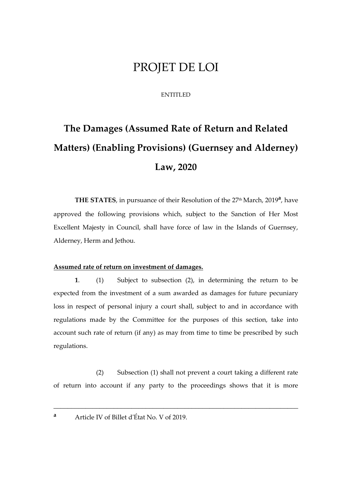## PROJET DE LOI

#### ENTITLED

# **The Damages (Assumed Rate of Return and Related Matters) (Enabling Provisions) (Guernsey and Alderney) Law, 2020**

THE STATES, in pursuance of their Resolution of the 27<sup>th</sup> March, 2019<sup>a</sup>, have approved the following provisions which, subject to the Sanction of Her Most Excellent Majesty in Council, shall have force of law in the Islands of Guernsey, Alderney, Herm and Jethou.

#### **Assumed rate of return on investment of damages.**

**1**. (1) Subject to subsection (2), in determining the return to be expected from the investment of a sum awarded as damages for future pecuniary loss in respect of personal injury a court shall, subject to and in accordance with regulations made by the Committee for the purposes of this section, take into account such rate of return (if any) as may from time to time be prescribed by such regulations.

(2) Subsection (1) shall not prevent a court taking a different rate of return into account if any party to the proceedings shows that it is more

\_\_\_\_\_\_\_\_\_\_\_\_\_\_\_\_\_\_\_\_\_\_\_\_\_\_\_\_\_\_\_\_\_\_\_\_\_\_\_\_\_\_\_\_\_\_\_\_\_\_\_\_\_\_\_\_\_\_\_\_\_\_\_\_\_\_\_\_\_

**<sup>a</sup>** Article IV of Billet d'État No. V of 2019.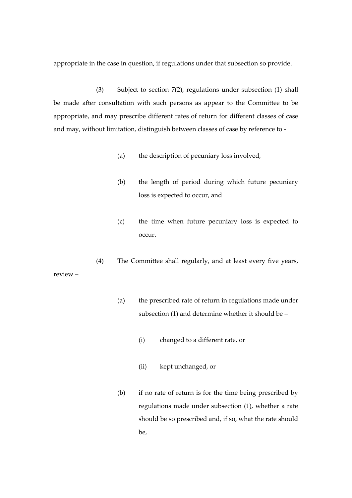appropriate in the case in question, if regulations under that subsection so provide.

(3) Subject to section 7(2), regulations under subsection (1) shall be made after consultation with such persons as appear to the Committee to be appropriate, and may prescribe different rates of return for different classes of case and may, without limitation, distinguish between classes of case by reference to -

- (a) the description of pecuniary loss involved,
- (b) the length of period during which future pecuniary loss is expected to occur, and
- (c) the time when future pecuniary loss is expected to occur.
- (4) The Committee shall regularly, and at least every five years,

review –

- (a) the prescribed rate of return in regulations made under subsection (1) and determine whether it should be –
	- (i) changed to a different rate, or
	- (ii) kept unchanged, or
- (b) if no rate of return is for the time being prescribed by regulations made under subsection (1), whether a rate should be so prescribed and, if so, what the rate should be,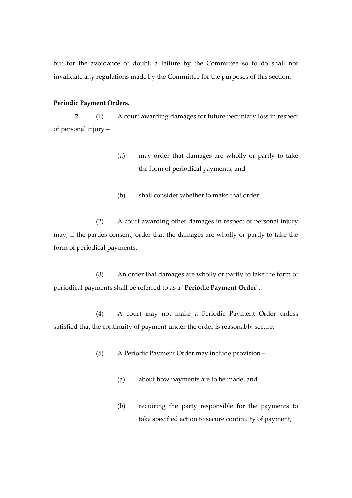but for the avoidance of doubt, a failure by the Committee so to do shall not invalidate any regulations made by the Committee for the purposes of this section.

#### **Periodic Payment Orders.**

**2.** (1) A court awarding damages for future pecuniary loss in respect of personal injury –

- (a) may order that damages are wholly or partly to take the form of periodical payments, and
- (b) shall consider whether to make that order.

(2) A court awarding other damages in respect of personal injury may, if the parties consent, order that the damages are wholly or partly to take the form of periodical payments.

(3) An order that damages are wholly or partly to take the form of periodical payments shall be referred to as a "**Periodic Payment Order**".

(4) A court may not make a Periodic Payment Order unless satisfied that the continuity of payment under the order is reasonably secure.

(5) A Periodic Payment Order may include provision –

- (a) about how payments are to be made, and
- (b) requiring the party responsible for the payments to take specified action to secure continuity of payment,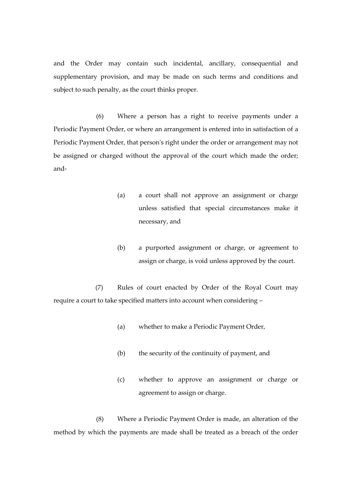and the Order may contain such incidental, ancillary, consequential and supplementary provision, and may be made on such terms and conditions and subject to such penalty, as the court thinks proper.

(6) Where a person has a right to receive payments under a Periodic Payment Order, or where an arrangement is entered into in satisfaction of a Periodic Payment Order, that person's right under the order or arrangement may not be assigned or charged without the approval of the court which made the order; and-

- (a) a court shall not approve an assignment or charge unless satisfied that special circumstances make it necessary, and
- (b) a purported assignment or charge, or agreement to assign or charge, is void unless approved by the court.

(7) Rules of court enacted by Order of the Royal Court may require a court to take specified matters into account when considering –

- (a) whether to make a Periodic Payment Order,
- (b) the security of the continuity of payment, and
- (c) whether to approve an assignment or charge or agreement to assign or charge.

(8) Where a Periodic Payment Order is made, an alteration of the method by which the payments are made shall be treated as a breach of the order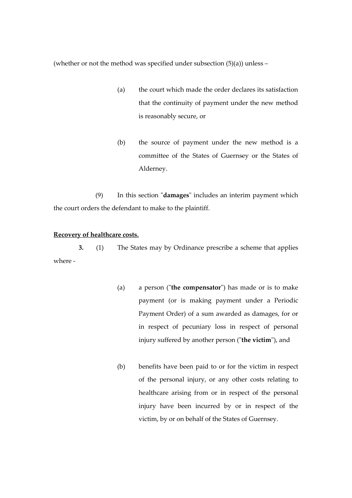(whether or not the method was specified under subsection  $(5)(a)$ ) unless –

- (a) the court which made the order declares its satisfaction that the continuity of payment under the new method is reasonably secure, or
- (b) the source of payment under the new method is a committee of the States of Guernsey or the States of Alderney.

(9) In this section "**damages**" includes an interim payment which the court orders the defendant to make to the plaintiff.

#### **Recovery of healthcare costs.**

**3.** (1) The States may by Ordinance prescribe a scheme that applies where -

- (a) a person ("**the compensator**") has made or is to make payment (or is making payment under a Periodic Payment Order) of a sum awarded as damages, for or in respect of pecuniary loss in respect of personal injury suffered by another person ("**the victim**"), and
- (b) benefits have been paid to or for the victim in respect of the personal injury, or any other costs relating to healthcare arising from or in respect of the personal injury have been incurred by or in respect of the victim, by or on behalf of the States of Guernsey.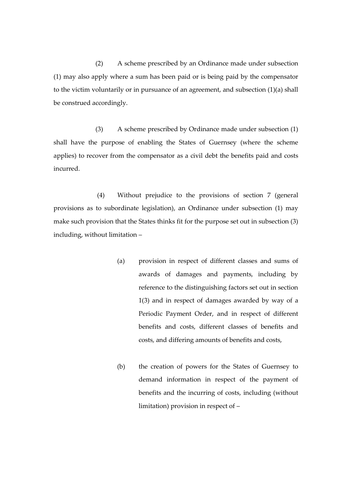(2) A scheme prescribed by an Ordinance made under subsection (1) may also apply where a sum has been paid or is being paid by the compensator to the victim voluntarily or in pursuance of an agreement, and subsection  $(1)(a)$  shall be construed accordingly.

(3) A scheme prescribed by Ordinance made under subsection (1) shall have the purpose of enabling the States of Guernsey (where the scheme applies) to recover from the compensator as a civil debt the benefits paid and costs incurred.

(4) Without prejudice to the provisions of section 7 (general provisions as to subordinate legislation), an Ordinance under subsection (1) may make such provision that the States thinks fit for the purpose set out in subsection (3) including, without limitation –

- (a) provision in respect of different classes and sums of awards of damages and payments, including by reference to the distinguishing factors set out in section 1(3) and in respect of damages awarded by way of a Periodic Payment Order, and in respect of different benefits and costs, different classes of benefits and costs, and differing amounts of benefits and costs,
- (b) the creation of powers for the States of Guernsey to demand information in respect of the payment of benefits and the incurring of costs, including (without limitation) provision in respect of –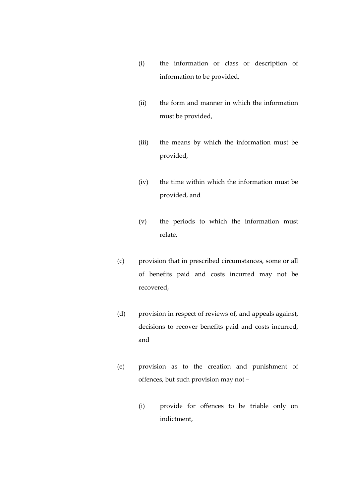- (i) the information or class or description of information to be provided,
- (ii) the form and manner in which the information must be provided,
- (iii) the means by which the information must be provided,
- (iv) the time within which the information must be provided, and
- (v) the periods to which the information must relate,
- (c) provision that in prescribed circumstances, some or all of benefits paid and costs incurred may not be recovered,
- (d) provision in respect of reviews of, and appeals against, decisions to recover benefits paid and costs incurred, and
- (e) provision as to the creation and punishment of offences, but such provision may not –
	- (i) provide for offences to be triable only on indictment,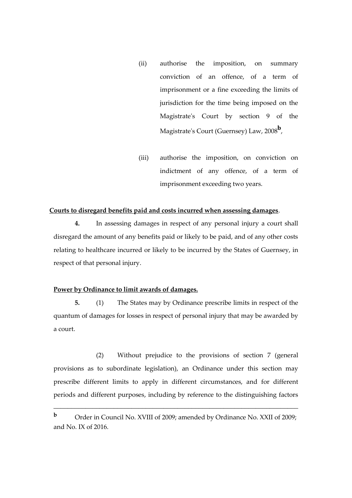- (ii) authorise the imposition, on summary conviction of an offence, of a term of imprisonment or a fine exceeding the limits of jurisdiction for the time being imposed on the Magistrate's Court by section 9 of the Magistrate's Court (Guernsey) Law, 2008**<sup>b</sup>** ,
- (iii) authorise the imposition, on conviction on indictment of any offence, of a term of imprisonment exceeding two years.

#### **Courts to disregard benefits paid and costs incurred when assessing damages**.

**4.** In assessing damages in respect of any personal injury a court shall disregard the amount of any benefits paid or likely to be paid, and of any other costs relating to healthcare incurred or likely to be incurred by the States of Guernsey, in respect of that personal injury.

#### **Power by Ordinance to limit awards of damages.**

**5.** (1) The States may by Ordinance prescribe limits in respect of the quantum of damages for losses in respect of personal injury that may be awarded by a court.

(2) Without prejudice to the provisions of section 7 (general provisions as to subordinate legislation), an Ordinance under this section may prescribe different limits to apply in different circumstances, and for different periods and different purposes, including by reference to the distinguishing factors

\_\_\_\_\_\_\_\_\_\_\_\_\_\_\_\_\_\_\_\_\_\_\_\_\_\_\_\_\_\_\_\_\_\_\_\_\_\_\_\_\_\_\_\_\_\_\_\_\_\_\_\_\_\_\_\_\_\_\_\_\_\_\_\_\_\_\_\_\_

**b** Order in Council No. XVIII of 2009; amended by Ordinance No. XXII of 2009; and No. IX of 2016.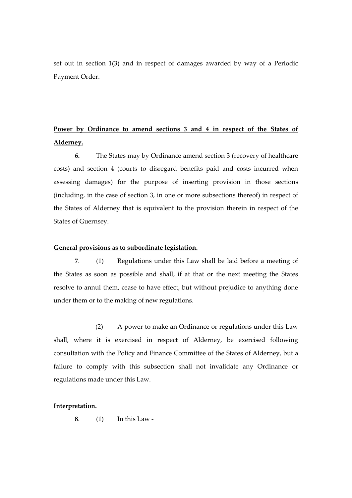set out in section 1(3) and in respect of damages awarded by way of a Periodic Payment Order.

### **Power by Ordinance to amend sections 3 and 4 in respect of the States of Alderney.**

**6.** The States may by Ordinance amend section 3 (recovery of healthcare costs) and section 4 (courts to disregard benefits paid and costs incurred when assessing damages) for the purpose of inserting provision in those sections (including, in the case of section 3, in one or more subsections thereof) in respect of the States of Alderney that is equivalent to the provision therein in respect of the States of Guernsey.

#### **General provisions as to subordinate legislation.**

**7**. (1) Regulations under this Law shall be laid before a meeting of the States as soon as possible and shall, if at that or the next meeting the States resolve to annul them, cease to have effect, but without prejudice to anything done under them or to the making of new regulations.

(2) A power to make an Ordinance or regulations under this Law shall, where it is exercised in respect of Alderney, be exercised following consultation with the Policy and Finance Committee of the States of Alderney, but a failure to comply with this subsection shall not invalidate any Ordinance or regulations made under this Law.

#### **Interpretation.**

**8**. (1) In this Law -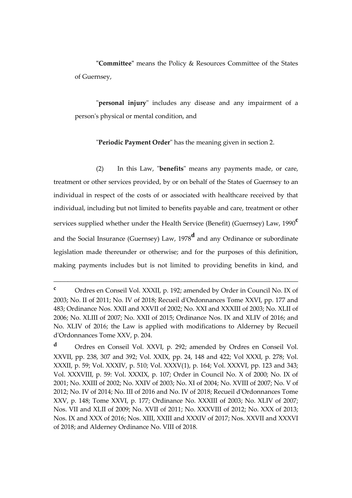**"Committee"** means the Policy & Resources Committee of the States of Guernsey,

"**personal injury**" includes any disease and any impairment of a person's physical or mental condition, and

"**Periodic Payment Order**" has the meaning given in section 2.

(2) In this Law, "**benefits**" means any payments made, or care, treatment or other services provided, by or on behalf of the States of Guernsey to an individual in respect of the costs of or associated with healthcare received by that individual, including but not limited to benefits payable and care, treatment or other services supplied whether under the Health Service (Benefit) (Guernsey) Law, 1990**<sup>c</sup>** and the Social Insurance (Guernsey) Law, 1978**<sup>d</sup>** and any Ordinance or subordinate legislation made thereunder or otherwise; and for the purposes of this definition, making payments includes but is not limited to providing benefits in kind, and

\_\_\_\_\_\_\_\_\_\_\_\_\_\_\_\_\_\_\_\_\_\_\_\_\_\_\_\_\_\_\_\_\_\_\_\_\_\_\_\_\_\_\_\_\_\_\_\_\_\_\_\_\_\_\_\_\_\_\_\_\_\_\_\_\_\_\_\_\_

**<sup>c</sup>** Ordres en Conseil Vol. XXXII, p. 192; amended by Order in Council No. IX of 2003; No. II of 2011; No. IV of 2018; Recueil d'Ordonnances Tome XXVI, pp. 177 and 483; Ordinance Nos. XXII and XXVII of 2002; No. XXI and XXXIII of 2003; No. XLII of 2006; No. XLIII of 2007; No. XXII of 2015; Ordinance Nos. IX and XLIV of 2016; and No. XLIV of 2016; the Law is applied with modifications to Alderney by Recueil d'Ordonnances Tome XXV, p. 204.

**<sup>d</sup>** Ordres en Conseil Vol. XXVI, p. 292; amended by Ordres en Conseil Vol. XXVII, pp. 238, 307 and 392; Vol. XXIX, pp. 24, 148 and 422; Vol XXXI, p. 278; Vol. XXXII, p. 59; Vol. XXXIV, p. 510; Vol. XXXV(1), p. 164; Vol. XXXVI, pp. 123 and 343; Vol. XXXVIII, p. 59: Vol. XXXIX, p. 107; Order in Council No. X of 2000; No. IX of 2001; No. XXIII of 2002; No. XXIV of 2003; No. XI of 2004; No. XVIII of 2007; No. V of 2012; No. IV of 2014; No. III of 2016 and No. IV of 2018; Recueil d'Ordonnances Tome XXV, p. 148; Tome XXVI, p. 177; Ordinance No. XXXIII of 2003; No. XLIV of 2007; Nos. VII and XLII of 2009; No. XVII of 2011; No. XXXVIII of 2012; No. XXX of 2013; Nos. IX and XXX of 2016; Nos. XIII, XXIII and XXXIV of 2017; Nos. XXVII and XXXVI of 2018; and Alderney Ordinance No. VIII of 2018.